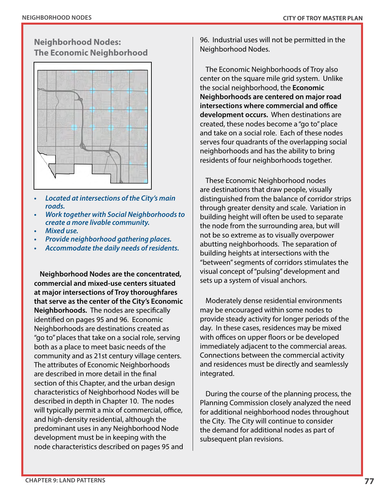## **Neighborhood Nodes: The Economic Neighborhood**



- *• Located at intersections of the City's main roads.*
- *• Work together with Social Neighborhoods to create a more livable community.*
- *• Mixed use.*
- *• Provide neighborhood gathering places.*
- *• Accommodate the daily needs of residents.*

**Neighborhood Nodes are the concentrated, commercial and mixed-use centers situated at major intersections of Troy thoroughfares that serve as the center of the City's Economic Neighborhoods.** The nodes are specifically identified on pages 95 and 96. Economic Neighborhoods are destinations created as "go to" places that take on a social role, serving both as a place to meet basic needs of the community and as 21st century village centers. The attributes of Economic Neighborhoods are described in more detail in the final section of this Chapter, and the urban design characteristics of Neighborhood Nodes will be described in depth in Chapter 10. The nodes will typically permit a mix of commercial, office, and high-density residential, although the predominant uses in any Neighborhood Node development must be in keeping with the node characteristics described on pages 95 and

96. Industrial uses will not be permitted in the Neighborhood Nodes.

The Economic Neighborhoods of Troy also center on the square mile grid system. Unlike the social neighborhood, the **Economic Neighborhoods are centered on major road intersections where commercial and office development occurs.** When destinations are created, these nodes become a "go to" place and take on a social role. Each of these nodes serves four quadrants of the overlapping social neighborhoods and has the ability to bring residents of four neighborhoods together.

These Economic Neighborhood nodes are destinations that draw people, visually distinguished from the balance of corridor strips through greater density and scale. Variation in building height will often be used to separate the node from the surrounding area, but will not be so extreme as to visually overpower abutting neighborhoods. The separation of building heights at intersections with the "between" segments of corridors stimulates the visual concept of "pulsing" development and sets up a system of visual anchors.

Moderately dense residential environments may be encouraged within some nodes to provide steady activity for longer periods of the day. In these cases, residences may be mixed with offices on upper floors or be developed immediately adjacent to the commercial areas. Connections between the commercial activity and residences must be directly and seamlessly integrated.

During the course of the planning process, the Planning Commission closely analyzed the need for additional neighborhood nodes throughout the City. The City will continue to consider the demand for additional nodes as part of subsequent plan revisions.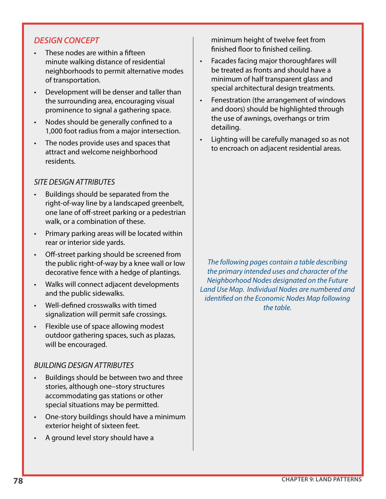## *DESIGN CONCEPT*

- These nodes are within a fifteen minute walking distance of residential neighborhoods to permit alternative modes of transportation.
- Development will be denser and taller than the surrounding area, encouraging visual prominence to signal a gathering space.
- Nodes should be generally confined to a 1,000 foot radius from a major intersection.
- The nodes provide uses and spaces that attract and welcome neighborhood residents.

## *SITE DESIGN ATTRIBUTES*

- Buildings should be separated from the right-of-way line by a landscaped greenbelt, one lane of off-street parking or a pedestrian walk, or a combination of these.
- Primary parking areas will be located within rear or interior side yards.
- Off-street parking should be screened from the public right-of-way by a knee wall or low decorative fence with a hedge of plantings.
- Walks will connect adjacent developments and the public sidewalks.
- Well-defined crosswalks with timed signalization will permit safe crossings.
- Flexible use of space allowing modest outdoor gathering spaces, such as plazas, will be encouraged.

## *BUILDING DESIGN ATTRIBUTES*

- Buildings should be between two and three stories, although one–story structures accommodating gas stations or other special situations may be permitted.
- One-story buildings should have a minimum exterior height of sixteen feet.
- A ground level story should have a

minimum height of twelve feet from finished floor to finished ceiling.

- Facades facing major thoroughfares will be treated as fronts and should have a minimum of half transparent glass and special architectural design treatments.
- Fenestration (the arrangement of windows and doors) should be highlighted through the use of awnings, overhangs or trim detailing.
- Lighting will be carefully managed so as not to encroach on adjacent residential areas.

*The following pages contain a table describing the primary intended uses and character of the Neighborhood Nodes designated on the Future Land Use Map. Individual Nodes are numbered and identified on the Economic Nodes Map following the table.*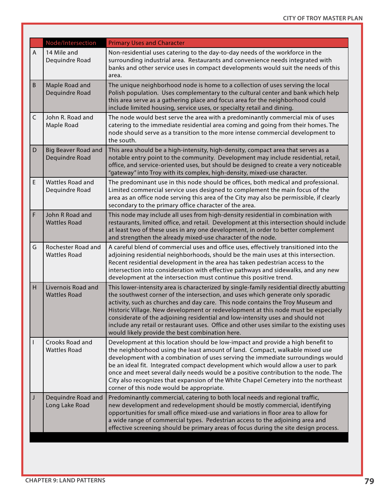|                | Node/Intersection                            | <b>Primary Uses and Character</b>                                                                                                                                                                                                                                                                                                                                                                                                                                                                                                                                                       |
|----------------|----------------------------------------------|-----------------------------------------------------------------------------------------------------------------------------------------------------------------------------------------------------------------------------------------------------------------------------------------------------------------------------------------------------------------------------------------------------------------------------------------------------------------------------------------------------------------------------------------------------------------------------------------|
| $\overline{A}$ | 14 Mile and<br>Dequindre Road                | Non-residential uses catering to the day-to-day needs of the workforce in the<br>surrounding industrial area. Restaurants and convenience needs integrated with<br>banks and other service uses in compact developments would suit the needs of this<br>area.                                                                                                                                                                                                                                                                                                                           |
| $\sf B$        | Maple Road and<br>Dequindre Road             | The unique neighborhood node is home to a collection of uses serving the local<br>Polish population. Uses complementary to the cultural center and bank which help<br>this area serve as a gathering place and focus area for the neighborhood could<br>include limited housing, service uses, or specialty retail and dining.                                                                                                                                                                                                                                                          |
| $\mathsf C$    | John R. Road and<br>Maple Road               | The node would best serve the area with a predominantly commercial mix of uses<br>catering to the immediate residential area coming and going from their homes. The<br>node should serve as a transition to the more intense commercial development to<br>the south.                                                                                                                                                                                                                                                                                                                    |
| $\mathsf D$    | <b>Big Beaver Road and</b><br>Dequindre Road | This area should be a high-intensity, high-density, compact area that serves as a<br>notable entry point to the community. Development may include residential, retail,<br>office, and service-oriented uses, but should be designed to create a very noticeable<br>"gateway" into Troy with its complex, high-density, mixed-use character.                                                                                                                                                                                                                                            |
| E              | Wattles Road and<br>Dequindre Road           | The predominant use in this node should be offices, both medical and professional.<br>Limited commercial service uses designed to complement the main focus of the<br>area as an office node serving this area of the City may also be permissible, if clearly<br>secondary to the primary office character of the area.                                                                                                                                                                                                                                                                |
| F              | John R Road and<br><b>Wattles Road</b>       | This node may include all uses from high-density residential in combination with<br>restaurants, limited office, and retail. Development at this intersection should include<br>at least two of these uses in any one development, in order to better complement<br>and strengthen the already mixed-use character of the node.                                                                                                                                                                                                                                                         |
| G              | Rochester Road and<br><b>Wattles Road</b>    | A careful blend of commercial uses and office uses, effectively transitioned into the<br>adjoining residential neighborhoods, should be the main uses at this intersection.<br>Recent residential development in the area has taken pedestrian access to the<br>intersection into consideration with effective pathways and sidewalks, and any new<br>development at the intersection must continue this positive trend.                                                                                                                                                                |
| H              | Livernois Road and<br><b>Wattles Road</b>    | This lower-intensity area is characterized by single-family residential directly abutting<br>the southwest corner of the intersection, and uses which generate only sporadic<br>activity, such as churches and day care. This node contains the Troy Museum and<br>Historic Village. New development or redevelopment at this node must be especially<br>considerate of the adjoining residential and low-intensity uses and should not<br>include any retail or restaurant uses. Office and other uses similar to the existing uses<br>would likely provide the best combination here. |
|                | Crooks Road and<br><b>Wattles Road</b>       | Development at this location should be low-impact and provide a high benefit to<br>the neighborhood using the least amount of land. Compact, walkable mixed use<br>development with a combination of uses serving the immediate surroundings would<br>be an ideal fit. Integrated compact development which would allow a user to park<br>once and meet several daily needs would be a positive contribution to the node. The<br>City also recognizes that expansion of the White Chapel Cemetery into the northeast<br>corner of this node would be appropriate.                       |
| J              | Dequindre Road and<br>Long Lake Road         | Predominantly commercial, catering to both local needs and regional traffic,<br>new development and redevelopment should be mostly commercial, identifying<br>opportunities for small office mixed-use and variations in floor area to allow for<br>a wide range of commercial types. Pedestrian access to the adjoining area and<br>effective screening should be primary areas of focus during the site design process.                                                                                                                                                               |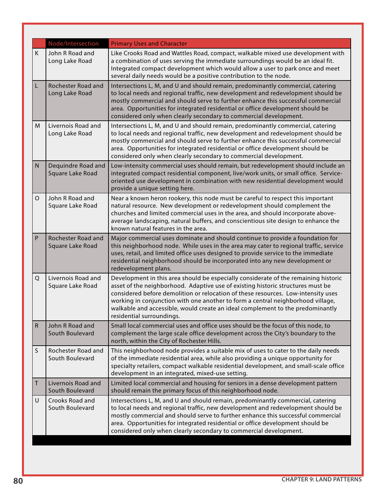|              | Node/Intersection                      | <b>Primary Uses and Character</b>                                                                                                                                                                                                                                                                                                                                                                                                                             |
|--------------|----------------------------------------|---------------------------------------------------------------------------------------------------------------------------------------------------------------------------------------------------------------------------------------------------------------------------------------------------------------------------------------------------------------------------------------------------------------------------------------------------------------|
| K            | John R Road and<br>Long Lake Road      | Like Crooks Road and Wattles Road, compact, walkable mixed use development with<br>a combination of uses serving the immediate surroundings would be an ideal fit.<br>Integrated compact development which would allow a user to park once and meet<br>several daily needs would be a positive contribution to the node.                                                                                                                                      |
| L.           | Rochester Road and<br>Long Lake Road   | Intersections L, M, and U and should remain, predominantly commercial, catering<br>to local needs and regional traffic, new development and redevelopment should be<br>mostly commercial and should serve to further enhance this successful commercial<br>area. Opportunities for integrated residential or office development should be<br>considered only when clearly secondary to commercial development.                                                |
| M            | Livernois Road and<br>Long Lake Road   | Intersections L, M, and U and should remain, predominantly commercial, catering<br>to local needs and regional traffic, new development and redevelopment should be<br>mostly commercial and should serve to further enhance this successful commercial<br>area. Opportunities for integrated residential or office development should be<br>considered only when clearly secondary to commercial development.                                                |
| ${\sf N}$    | Dequindre Road and<br>Square Lake Road | Low-intensity commercial uses should remain, but redevelopment should include an<br>integrated compact residential component, live/work units, or small office. Service-<br>oriented use development in combination with new residential development would<br>provide a unique setting here.                                                                                                                                                                  |
| O            | John R Road and<br>Square Lake Road    | Near a known heron rookery, this node must be careful to respect this important<br>natural resource. New development or redevelopment should complement the<br>churches and limited commercial uses in the area, and should incorporate above-<br>average landscaping, natural buffers, and conscientious site design to enhance the<br>known natural features in the area.                                                                                   |
| $\mathsf{P}$ | Rochester Road and<br>Square Lake Road | Major commercial uses dominate and should continue to provide a foundation for<br>this neighborhood node. While uses in the area may cater to regional traffic, service<br>uses, retail, and limited office uses designed to provide service to the immediate<br>residential neighborhood should be incorporated into any new development or<br>redevelopment plans.                                                                                          |
| Q            | Livernois Road and<br>Square Lake Road | Development in this area should be especially considerate of the remaining historic<br>asset of the neighborhood. Adaptive use of existing historic structures must be<br>considered before demolition or relocation of these resources. Low-intensity uses<br>working in conjunction with one another to form a central neighborhood village,<br>walkable and accessible, would create an ideal complement to the predominantly<br>residential surroundings. |
| $\mathsf{R}$ | John R Road and<br>South Boulevard     | Small local commercial uses and office uses should be the focus of this node, to<br>complement the large scale office development across the City's boundary to the<br>north, within the City of Rochester Hills.                                                                                                                                                                                                                                             |
| S            | Rochester Road and<br>South Boulevard  | This neighborhood node provides a suitable mix of uses to cater to the daily needs<br>of the immediate residential area, while also providing a unique opportunity for<br>specialty retailers, compact walkable residential development, and small-scale office<br>development in an integrated, mixed-use setting.                                                                                                                                           |
| Τ            | Livernois Road and<br>South Boulevard  | Limited local commercial and housing for seniors in a dense development pattern<br>should remain the primary focus of this neighborhood node.                                                                                                                                                                                                                                                                                                                 |
| U            | Crooks Road and<br>South Boulevard     | Intersections L, M, and U and should remain, predominantly commercial, catering<br>to local needs and regional traffic, new development and redevelopment should be<br>mostly commercial and should serve to further enhance this successful commercial<br>area. Opportunities for integrated residential or office development should be<br>considered only when clearly secondary to commercial development.                                                |